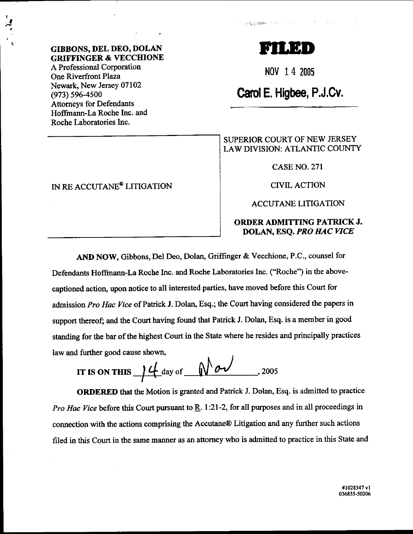A Professional Corporation One Riverfront Plaza Newark, New Jersey 07102 (973) s96-4s00 Attorneys for Defendants Hoffmann-La Roche Inc. and Roche Laboratories Inc.

### IN RE ACCUTANE<sup>®</sup> LITIGATION

# **F**

Constitution Date:

 $\cdot$  is a reached by  $\cdot$  . If

Nov 14 2005

## Card E. Higbee, P.J.Cv.

#### SUPERIOR COURT OF NEW JERSEY LAW DIVISION: ATLANTIC COUNTY

CASENO.27l

CTVIL ACTION

#### ACCUTANE LITIGATION

#### ORDER ADMITTING PATRICK J. DOLAN, ESQ. *PRO HAC VICE*

AND NOW, Gibbons, Del Deo, Dolan, Griffinger & Vecchione, P.C., counsel for Defendants Hoffinann-La Roche Inc. and Roche Laboratories Inc. ("Roche") in the abovecaptioned action, upon notice to all interested parties, have moved before this Court for admission Pro Hac Vice of Patrick J. Dolan, Esq.; the Court having considered the papers in support thereof; and the Court having found that Patrick J. Dolan, Esq. is a member in good standing for the bar of the highest Court in the State where he resides and principally practices law and further good cause shown,

IT IS ON THIS 
$$
\int \frac{d}{dx} \, dx
$$
 of  $\sqrt{2005}$ 

ORDERED that the Motion is granted and Patrick J. Dolan, Esq. is admitted to practice *Pro Hac Vice* before this Court pursuant to  $\underline{R}$ . 1:21-2, for all purposes and in all proceedings in connection with the actions comprising the Accutane@ Litigation and any further such actions filed in this Court in the same manner as an attorney who is admitted to practice in this State and